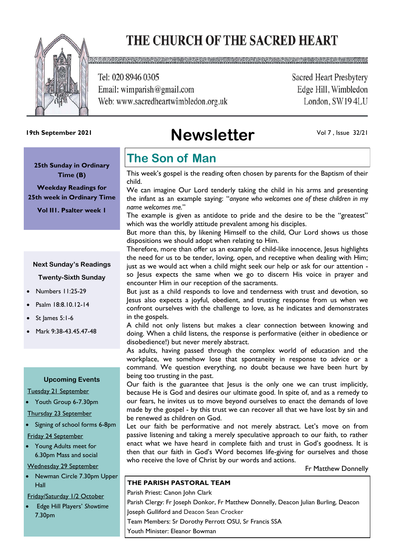# THE CHURCH OF THE SACRED HEART



Tel: 020 8946 0305 Email: wimparish@gmail.com Web: www.sacredheartwimbledon.org.uk **Sacred Heart Presbytery** Edge Hill, Wimbledon London, SW194LU

# **Newsletter 19th September 2021**

Vol 7 , Issue 32/21

**25th Sunday in Ordinary Time (B)** 

**Weekday Readings for 25th week in Ordinary Time**

**Vol II1. Psalter week 1**

#### **Next Sunday's Readings**

**Twenty-Sixth Sunday** 

- Numbers 11:25-29
- Psalm 18:8.10.12-14
- St James 5:1-6
- Mark 9:38-43.45.47-48

#### **Upcoming Events**

Tuesday 21 September

• Youth Group 6-7.30pm

Thursday 23 September

• Signing of school forms 6-8pm

#### Friday 24 September

• Young Adults meet for 6.30pm Mass and social

Wednesday 29 September

• Newman Circle 7.30pm Upper Hall

#### Friday/Saturday 1/2 October

• Edge Hill Players' *Showtime* 7.30pm

### **The Son of Man**

This week's gospel is the reading often chosen by parents for the Baptism of their child.

We can imagine Our Lord tenderly taking the child in his arms and presenting the infant as an example saying: "*anyone who welcomes one of these children in my name welcomes me.*"

The example is given as antidote to pride and the desire to be the "greatest" which was the worldly attitude prevalent among his disciples.

But more than this, by likening Himself to the child, Our Lord shows us those dispositions we should adopt when relating to Him.

Therefore, more than offer us an example of child-like innocence, lesus highlights the need for us to be tender, loving, open, and receptive when dealing with Him; just as we would act when a child might seek our help or ask for our attention so lesus expects the same when we go to discern His voice in prayer and encounter Him in our reception of the sacraments.

But just as a child responds to love and tenderness with trust and devotion, so Jesus also expects a joyful, obedient, and trusting response from us when we confront ourselves with the challenge to love, as he indicates and demonstrates in the gospels.

A child not only listens but makes a clear connection between knowing and doing. When a child listens, the response is performative (either in obedience or disobedience!) but never merely abstract.

As adults, having passed through the complex world of education and the workplace, we somehow lose that spontaneity in response to advice or a command. We question everything, no doubt because we have been hurt by being too trusting in the past.

Our faith is the guarantee that Jesus is the only one we can trust implicitly, because He is God and desires our ultimate good. In spite of, and as a remedy to our fears, he invites us to move beyond ourselves to enact the demands of love made by the gospel - by this trust we can recover all that we have lost by sin and be renewed as children on God.

Let our faith be performative and not merely abstract. Let's move on from passive listening and taking a merely speculative approach to our faith, to rather enact what we have heard in complete faith and trust in God's goodness. It is then that our faith in God's Word becomes life-giving for ourselves and those who receive the love of Christ by our words and actions.

Fr Matthew Donnelly

#### **THE PARISH PASTORAL TEAM**

Parish Priest: Canon John Clark Parish Clergy: Fr Joseph Donkor, Fr Matthew Donnelly, Deacon Julian Burling, Deacon Joseph Gulliford and Deacon Sean Crocker Team Members: Sr Dorothy Perrott OSU, Sr Francis SSA Youth Minister: Eleanor Bowman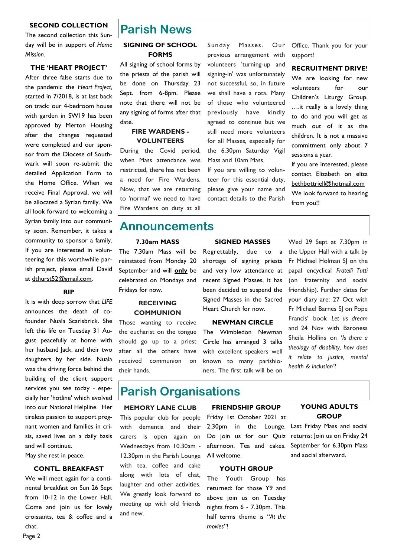#### **SECOND COLLECTION**

The second collection this Sunday will be in support of *Home Mission.*

**THE 'HEART PROJECT'**

After three false starts due to the pandemic the *Heart Project,* started in 7/2018, is at last back on track: our 4-bedroom house with garden in SW19 has been approved by Merton Housing after the changes requested were completed and our sponsor from the Diocese of Southwark will soon re-submit the detailed Application Form to the Home Office. When we receive Final Approval, we will be allocated a Syrian family. We all look forward to welcoming a Syrian family into our community soon. Remember, it takes a community to sponsor a family. If you are interested in volunteering for this worthwhile parish project, please email David at dthurst52@gmail.com.

#### **RIP**

It is with deep sorrow that *LIFE* announces the death of cofounder Nuala Scarisbrick. She left this life on Tuesday 31 August peacefully at home with her husband Jack, and their two daughters by her side. Nuala was the driving force behind the building of the client support services you see today - especially her 'hotline' which evolved into our National Helpline. Her tireless passion to support pregnant women and families in crisis, saved lives on a daily basis and will continue.

May she rest in peace.

#### **CONTL. BREAKFAST**

We will meet again for a continental breakfast on Sun 26 Sept from 10-12 in the Lower Hall. Come and join us for lovely croissants, tea & coffee and a chat.

### **Parish News**

#### **SIGNING OF SCHOOL FORMS**

All signing of school forms by the priests of the parish will be done on Thursday 23 Sept. from 6-8pm. Please note that there will not be any signing of forms after that date.

#### **FIRE WARDENS - VOLUNTEERS**

During the Covid period, when Mass attendance was restricted, there has not been a need for Fire Wardens. Now, that we are returning to 'normal' we need to have Fire Wardens on duty at all Sunday Masses. Our previous arrangement with volunteers 'turning-up and signing-in' was unfortunately not successful, so, in future we shall have a rota. Many of those who volunteered previously have kindly agreed to continue but we still need more volunteers for all Masses, especially for the 6.30pm Saturday Vigil Mass and 10am Mass.

If you are willing to volunteer for this essential duty, please give your name and contact details to the Parish

Office. Thank you for your support!

**RECRUITMENT DRIVE**!

We are looking for new volunteers for our Children's Liturgy Group. ….it really is a lovely thing to do and you will get as much out of it as the children. It is not a massive commitment only about 7 sessions a year.

If you are interested, please contact Elizabeth on eliza bethbottriell@hotmail.com We look forward to hearing from you!!

### **Announcements**

#### **7.30am MASS**

The 7.30am Mass will be reinstated from Monday 20 September and will **only** be celebrated on Mondays and Fridays for now.

#### **RECEIVING COMMUNION**

Those wanting to receive the eucharist on the tongue should go up to a priest after all the others have received communion on their hands.

#### **SIGNED MASSES**

Regrettably, due to a shortage of signing priests and very low attendance at recent Signed Masses, it has been decided to suspend the Signed Masses in the Sacred Heart Church for now.

#### **NEWMAN CIRCLE**

The Wimbledon Newman Circle has arranged 3 talks with excellent speakers well known to many parishioners. The first talk will be on

Wed 29 Sept at 7.30pm in the Upper Hall with a talk by Fr Michael Holman SJ on the papal encyclical *Fratelli Tutti*  (on fraternity and social friendship). Further dates for your diary are: 27 Oct with Fr Michael Barnes SJ on Pope Francis' book *Let us dream*  and 24 Nov with Baroness Sheila Hollins on '*Is there a theology of disability, how does it relate to justice, mental health & inclusion'*?

### **Parish Organisations**

#### **MEMORY LANE CLUB**

This popular club for people with dementia and their carers is open again on Wednesdays from 10.30am - 12.30pm in the Parish Lounge with tea, coffee and cake along with lots of chat, laughter and other activities. We greatly look forward to meeting up with old friends and new.

#### **FRIENDSHIP GROUP**

Friday 1st October 2021 at 2.30pm in the Lounge. Do join us for our Quiz afternoon. Tea and cakes. All welcome.

#### **YOUTH GROUP**

The Youth Group has returned: for those Y9 and above join us on Tuesday nights from 6 - 7.30pm. This half terms theme is "*At the movies*"!

#### **YOUNG ADULTS GROUP**

Last Friday Mass and social returns: Join us on Friday 24 September for 6.30pm Mass and social afterward.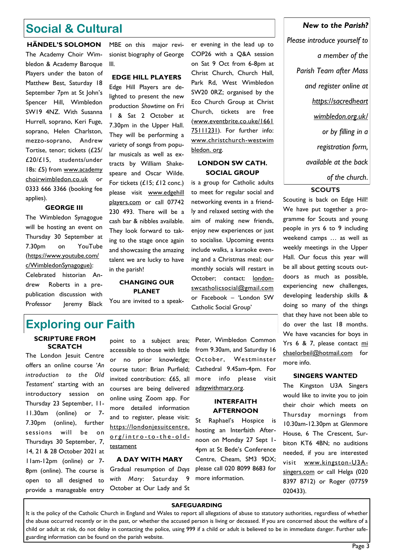### **Social & Cultural**

**HÄNDEL'S SOLOMON** The Academy Choir Wimbledon & Academy Baroque Players under the baton of Matthew Best, Saturday 18 September 7pm at St John's Spencer Hill, Wimbledon SW19 4NZ. With Susanna Hurrell, soprano, Keri Fuge, soprano, Helen Charlston, mezzo-soprano, Andrew Tortise, tenor; tickets (£25/ £20/£15, students/under 18s: £5) from www.academy [choirwimbledon.co.uk](http://www.academychoirwimbledon.co.uk/) or 0333 666 3366 (booking fee applies).

#### **GEORGE III**

The Wimbledon Synagogue will be hosting an event on Thursday 30 September at 7.30pm on YouTube (https://www.youtube.com/ c/WimbledonSynagogue): Celebrated historian Andrew Roberts in a prepublication discussion with Professor Jeremy Black MBE on this major revisionist biography of George lll.

#### **EDGE HILL PLAYERS**

Edge Hill Players are delighted to present the new production *Showtime* on Fri 1 & Sat 2 October at 7.30pm in the Upper Hall. They will be performing a variety of songs from popular musicals as well as extracts by William Shakespeare and Oscar Wilde. For tickets (£15; £12 conc.) please visit [www.edgehill](http://www.edgehillplayers.com/)  [players.com](http://www.edgehillplayers.com/) or call 07742 230 493. There will be a cash bar & nibbles available. They look forward to taking to the stage once again and showcasing the amazing talent we are lucky to have in the parish!

### **CHANGING OUR PLANET**

You are invited to a speak-

er evening in the lead up to COP26 with a Q&A session on Sat 9 Oct from 6-8pm at Christ Church, Church Hall, Park Rd, West Wimbledon SW20 0RZ; organised by the Eco Church Group at Christ Church, tickets are free (www.eventbrite.co.uke/1661 75111231). For further info: www.christchurch-westwim bledon. org.

#### **LONDON SW CATH. SOCIAL GROUP**

is a group for Catholic adults to meet for regular social and networking events in a friendly and relaxed setting with the aim of making new friends, enjoy new experiences or just to socialise. Upcoming events include walks, a karaoke evening and a Christmas meal; our monthly socials will restart in October; contact: [london](mailto:londonswcatholicsocial@gmail.com)[swcatholicsocial@gmail.com](mailto:londonswcatholicsocial@gmail.com) or Facebook – 'London SW Catholic Social Group'

## **Exploring our Faith**

#### **SCRIPTURE FROM SCRATCH**

The London Jesuit Centre offers an online course '*An introduction to the Old Testament'* starting with an introductory session on Thursday 23 September, 11- 11.30am (online) or 7- 7.30pm (online), further sessions will be on Thursdays 30 September, 7, 14, 21 & 28 October 2021 at 11am-12pm (online) or 7- 8pm (online). The course is open to all designed to provide a manageable entry

point to a subject area; accessible to those with little or no prior knowledge; course tutor: Brian Purfield; invited contribution: £65, all courses are being delivered online using Zoom app. For more detailed information and to register, please visit: https://londonjesuitcentre. org/intro-to-the-oldtestament

#### **A DAY WITH MARY**

Gradual resumption of *Days with Mary*: Saturday 9 October at Our Lady and St

Peter, Wimbledon Common from 9.30am, and Saturday 16 October, Westminster Cathedral 9.45am-4pm. For more info please visit adaywithmary.org.

#### **INTERFAITH AFTERNOON**

St Raphael's Hospice is hosting an Interfaith Afternoon on Monday 27 Sept 1- 4pm at St Bede's Conference Centre, Cheam, SM3 9DX; please call 020 8099 8683 for more information.

#### *New to the Parish?*

*Please introduce yourself to a member of the Parish Team after Mass and register online at https://sacredheart wimbledon.org.uk/ or by filling in a registration form, available at the back of the church*.

#### **SCOUTS**

Scouting is back on Edge Hill! We have put together a programme for Scouts and young people in yrs 6 to 9 including weekend camps … as well as weekly meetings in the Upper Hall. Our focus this year will be all about getting scouts outdoors as much as possible, experiencing new challenges, developing leadership skills & doing so many of the things that they have not been able to do over the last 18 months. We have vacancies for boys in Yrs 6 & 7, please contact mi chaelorbeil@hotmail.com for more info.

#### **SINGERS WANTED**

The Kingston U3A Singers would like to invite you to join their choir which meets on Thursday mornings from 10.30am-12.30pm at Glenmore House, 6 The Crescent, Surbiton KT6 4BN; no auditions needed, if you are interested visit www.kingston-U3Asingers.com or call Helga (020 8397 8712) or Roger (07759 020433).

#### **SAFEGUARDING**

It is the policy of the Catholic Church in England and Wales to report all allegations of abuse to statutory authorities, regardless of whether the abuse occurred recently or in the past, or whether the accused person is living or deceased. If you are concerned about the welfare of a child or adult at risk, do not delay in contacting the police, using 999 if a child or adult is believed to be in immediate danger. Further safeguarding information can be found on the parish website.